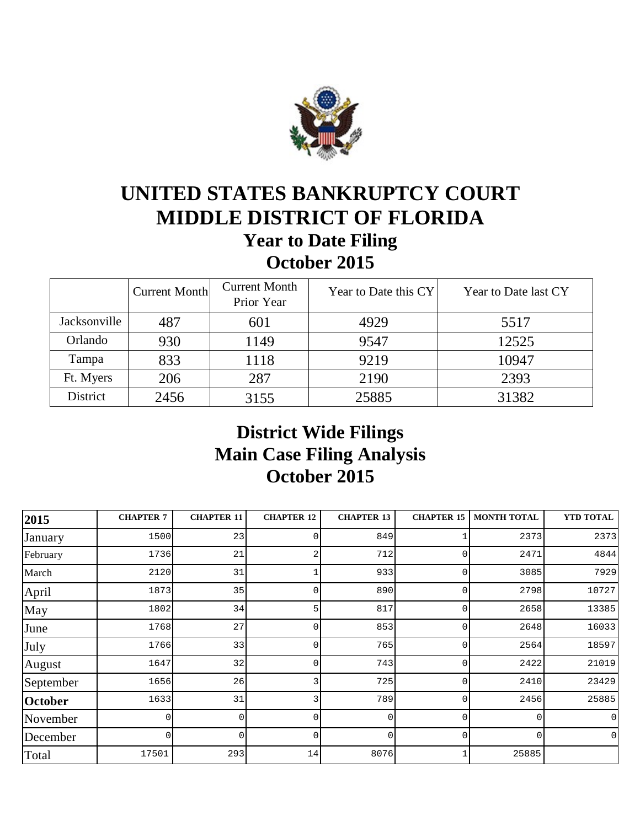

# **UNITED STATES BANKRUPTCY COURT MIDDLE DISTRICT OF FLORIDA Year to Date Filing October 2015**

|              | <b>Current Month</b> | <b>Current Month</b><br>Prior Year | Year to Date this CY | Year to Date last CY |
|--------------|----------------------|------------------------------------|----------------------|----------------------|
| Jacksonville | 487                  | 601                                | 4929                 | 5517                 |
| Orlando      | 930                  | 1149                               | 9547                 | 12525                |
| Tampa        | 833                  | 1118                               | 9219                 | 10947                |
| Ft. Myers    | 206                  | 287                                | 2190                 | 2393                 |
| District     | 2456                 | 3155                               | 25885                | 31382                |

## **District Wide Filings Main Case Filing Analysis October 2015**

| 2015      | <b>CHAPTER 7</b> | <b>CHAPTER 11</b> | <b>CHAPTER 12</b> | <b>CHAPTER 13</b> | <b>CHAPTER 15</b> | <b>MONTH TOTAL</b> | <b>YTD TOTAL</b> |
|-----------|------------------|-------------------|-------------------|-------------------|-------------------|--------------------|------------------|
| January   | 1500             | 23                |                   | 849               |                   | 2373               | 2373             |
| February  | 1736             | 21                |                   | 712               |                   | 2471               | 4844             |
| March     | 2120             | 31                |                   | 933               | U                 | 3085               | 7929             |
| April     | 1873             | 35                | $\Omega$          | 890               | 0                 | 2798               | 10727            |
| May       | 1802             | 34                | 5                 | 817               |                   | 2658               | 13385            |
| June      | 1768             | 27                | $\Omega$          | 853               |                   | 2648               | 16033            |
| July      | 1766             | 33                | $\Omega$          | 765               | O                 | 2564               | 18597            |
| August    | 1647             | 32                | U                 | 743               |                   | 2422               | 21019            |
| September | 1656             | 26                |                   | 725               |                   | 2410               | 23429            |
| October   | 1633             | 31                |                   | 789               |                   | 2456               | 25885            |
| November  | <sup>n</sup>     | U                 | $\Omega$          | $\Omega$          |                   | ∩                  | $\Omega$         |
| December  | $\Omega$         | N                 | $\Omega$          | $\Omega$          | 0                 | $\Omega$           | $\Omega$         |
| Total     | 17501            | 293               | 14                | 8076              |                   | 25885              |                  |